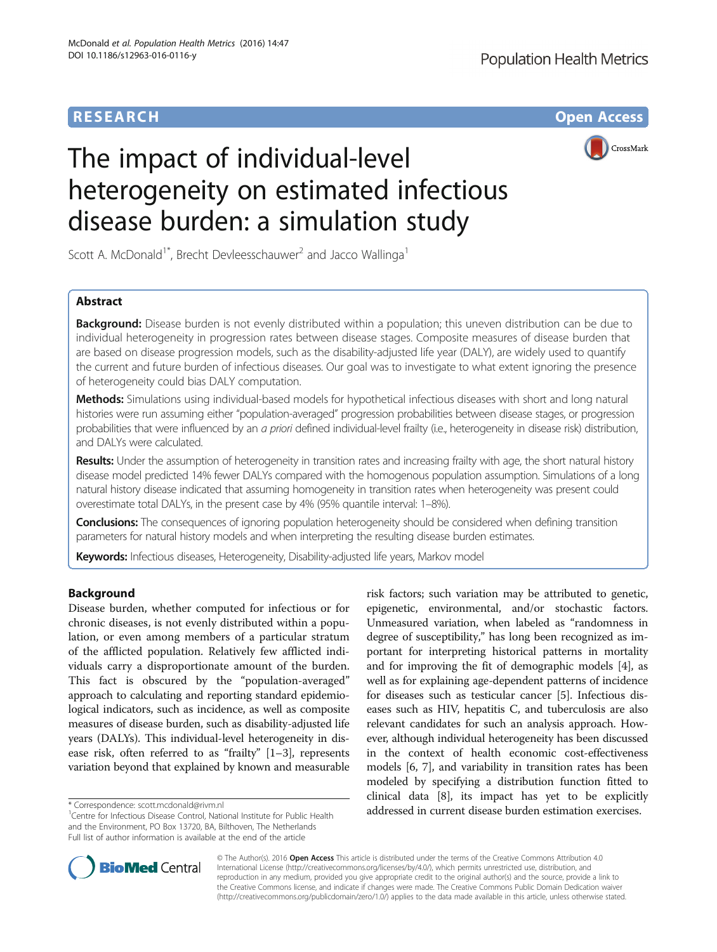## **RESEARCH CHE Open Access**



# The impact of individual-level heterogeneity on estimated infectious disease burden: a simulation study

Scott A. McDonald<sup>1\*</sup>, Brecht Devleesschauwer<sup>2</sup> and Jacco Wallinga<sup>1</sup>

## Abstract

Background: Disease burden is not evenly distributed within a population; this uneven distribution can be due to individual heterogeneity in progression rates between disease stages. Composite measures of disease burden that are based on disease progression models, such as the disability-adjusted life year (DALY), are widely used to quantify the current and future burden of infectious diseases. Our goal was to investigate to what extent ignoring the presence of heterogeneity could bias DALY computation.

Methods: Simulations using individual-based models for hypothetical infectious diseases with short and long natural histories were run assuming either "population-averaged" progression probabilities between disease stages, or progression probabilities that were influenced by an a priori defined individual-level frailty (i.e., heterogeneity in disease risk) distribution, and DALYs were calculated.

Results: Under the assumption of heterogeneity in transition rates and increasing frailty with age, the short natural history disease model predicted 14% fewer DALYs compared with the homogenous population assumption. Simulations of a long natural history disease indicated that assuming homogeneity in transition rates when heterogeneity was present could overestimate total DALYs, in the present case by 4% (95% quantile interval: 1–8%).

Conclusions: The consequences of ignoring population heterogeneity should be considered when defining transition parameters for natural history models and when interpreting the resulting disease burden estimates.

Keywords: Infectious diseases, Heterogeneity, Disability-adjusted life years, Markov model

## Background

Disease burden, whether computed for infectious or for chronic diseases, is not evenly distributed within a population, or even among members of a particular stratum of the afflicted population. Relatively few afflicted individuals carry a disproportionate amount of the burden. This fact is obscured by the "population-averaged" approach to calculating and reporting standard epidemiological indicators, such as incidence, as well as composite measures of disease burden, such as disability-adjusted life years (DALYs). This individual-level heterogeneity in disease risk, often referred to as "frailty" [\[1](#page-8-0)–[3\]](#page-8-0), represents variation beyond that explained by known and measurable

risk factors; such variation may be attributed to genetic, epigenetic, environmental, and/or stochastic factors. Unmeasured variation, when labeled as "randomness in degree of susceptibility," has long been recognized as important for interpreting historical patterns in mortality and for improving the fit of demographic models [\[4](#page-8-0)], as well as for explaining age-dependent patterns of incidence for diseases such as testicular cancer [[5](#page-8-0)]. Infectious diseases such as HIV, hepatitis C, and tuberculosis are also relevant candidates for such an analysis approach. However, although individual heterogeneity has been discussed in the context of health economic cost-effectiveness models [\[6](#page-8-0), [7\]](#page-8-0), and variability in transition rates has been modeled by specifying a distribution function fitted to clinical data [\[8](#page-8-0)], its impact has yet to be explicitly addressed in current disease burden estimation exercises. \* Correspondence: [scott.mcdonald@rivm.nl](mailto:scott.mcdonald@rivm.nl) <sup>1</sup>



© The Author(s). 2016 Open Access This article is distributed under the terms of the Creative Commons Attribution 4.0 International License [\(http://creativecommons.org/licenses/by/4.0/](http://creativecommons.org/licenses/by/4.0/)), which permits unrestricted use, distribution, and reproduction in any medium, provided you give appropriate credit to the original author(s) and the source, provide a link to the Creative Commons license, and indicate if changes were made. The Creative Commons Public Domain Dedication waiver [\(http://creativecommons.org/publicdomain/zero/1.0/](http://creativecommons.org/publicdomain/zero/1.0/)) applies to the data made available in this article, unless otherwise stated.

<sup>&</sup>lt;sup>1</sup> Centre for Infectious Disease Control, National Institute for Public Health and the Environment, PO Box 13720, BA, Bilthoven, The Netherlands Full list of author information is available at the end of the article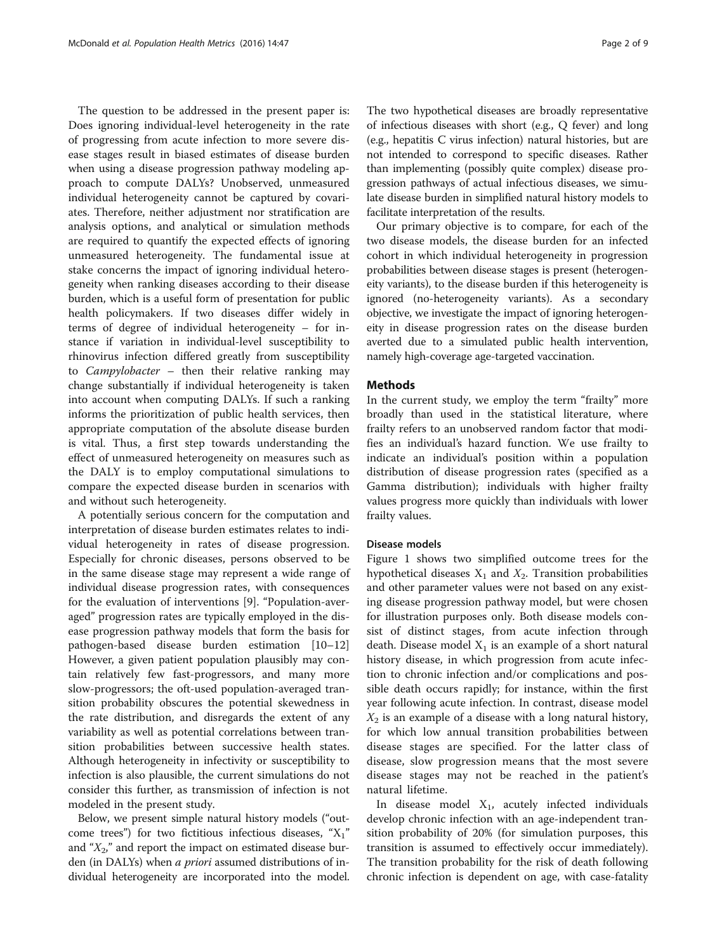The question to be addressed in the present paper is: Does ignoring individual-level heterogeneity in the rate of progressing from acute infection to more severe disease stages result in biased estimates of disease burden when using a disease progression pathway modeling approach to compute DALYs? Unobserved, unmeasured individual heterogeneity cannot be captured by covariates. Therefore, neither adjustment nor stratification are analysis options, and analytical or simulation methods are required to quantify the expected effects of ignoring unmeasured heterogeneity. The fundamental issue at stake concerns the impact of ignoring individual heterogeneity when ranking diseases according to their disease burden, which is a useful form of presentation for public health policymakers. If two diseases differ widely in terms of degree of individual heterogeneity – for instance if variation in individual-level susceptibility to rhinovirus infection differed greatly from susceptibility to Campylobacter – then their relative ranking may change substantially if individual heterogeneity is taken into account when computing DALYs. If such a ranking informs the prioritization of public health services, then appropriate computation of the absolute disease burden is vital. Thus, a first step towards understanding the effect of unmeasured heterogeneity on measures such as the DALY is to employ computational simulations to compare the expected disease burden in scenarios with and without such heterogeneity.

A potentially serious concern for the computation and interpretation of disease burden estimates relates to individual heterogeneity in rates of disease progression. Especially for chronic diseases, persons observed to be in the same disease stage may represent a wide range of individual disease progression rates, with consequences for the evaluation of interventions [\[9](#page-8-0)]. "Population-averaged" progression rates are typically employed in the disease progression pathway models that form the basis for pathogen-based disease burden estimation [[10](#page-8-0)–[12](#page-8-0)] However, a given patient population plausibly may contain relatively few fast-progressors, and many more slow-progressors; the oft-used population-averaged transition probability obscures the potential skewedness in the rate distribution, and disregards the extent of any variability as well as potential correlations between transition probabilities between successive health states. Although heterogeneity in infectivity or susceptibility to infection is also plausible, the current simulations do not consider this further, as transmission of infection is not modeled in the present study.

Below, we present simple natural history models ("outcome trees") for two fictitious infectious diseases, " $X_1$ " and " $X_2$ ," and report the impact on estimated disease burden (in DALYs) when *a priori* assumed distributions of individual heterogeneity are incorporated into the model.

The two hypothetical diseases are broadly representative of infectious diseases with short (e.g., Q fever) and long (e.g., hepatitis C virus infection) natural histories, but are not intended to correspond to specific diseases. Rather than implementing (possibly quite complex) disease progression pathways of actual infectious diseases, we simulate disease burden in simplified natural history models to facilitate interpretation of the results.

Our primary objective is to compare, for each of the two disease models, the disease burden for an infected cohort in which individual heterogeneity in progression probabilities between disease stages is present (heterogeneity variants), to the disease burden if this heterogeneity is ignored (no-heterogeneity variants). As a secondary objective, we investigate the impact of ignoring heterogeneity in disease progression rates on the disease burden averted due to a simulated public health intervention, namely high-coverage age-targeted vaccination.

#### Methods

In the current study, we employ the term "frailty" more broadly than used in the statistical literature, where frailty refers to an unobserved random factor that modifies an individual's hazard function. We use frailty to indicate an individual's position within a population distribution of disease progression rates (specified as a Gamma distribution); individuals with higher frailty values progress more quickly than individuals with lower frailty values.

### Disease models

Figure [1](#page-2-0) shows two simplified outcome trees for the hypothetical diseases  $X_1$  and  $X_2$ . Transition probabilities and other parameter values were not based on any existing disease progression pathway model, but were chosen for illustration purposes only. Both disease models consist of distinct stages, from acute infection through death. Disease model  $X_1$  is an example of a short natural history disease, in which progression from acute infection to chronic infection and/or complications and possible death occurs rapidly; for instance, within the first year following acute infection. In contrast, disease model  $X_2$  is an example of a disease with a long natural history, for which low annual transition probabilities between disease stages are specified. For the latter class of disease, slow progression means that the most severe disease stages may not be reached in the patient's natural lifetime.

In disease model  $X_1$ , acutely infected individuals develop chronic infection with an age-independent transition probability of 20% (for simulation purposes, this transition is assumed to effectively occur immediately). The transition probability for the risk of death following chronic infection is dependent on age, with case-fatality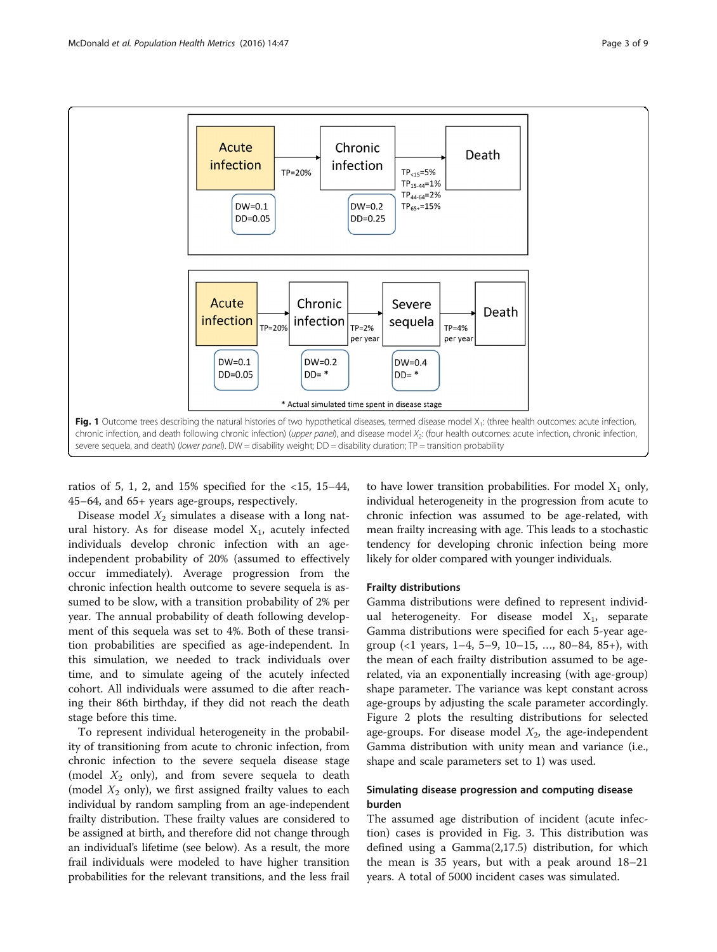<span id="page-2-0"></span>

ratios of 5, 1, 2, and 15% specified for the  $\langle 15, 15-44,$ 45–64, and 65+ years age-groups, respectively.

Disease model  $X_2$  simulates a disease with a long natural history. As for disease model  $X_1$ , acutely infected individuals develop chronic infection with an ageindependent probability of 20% (assumed to effectively occur immediately). Average progression from the chronic infection health outcome to severe sequela is assumed to be slow, with a transition probability of 2% per year. The annual probability of death following development of this sequela was set to 4%. Both of these transition probabilities are specified as age-independent. In this simulation, we needed to track individuals over time, and to simulate ageing of the acutely infected cohort. All individuals were assumed to die after reaching their 86th birthday, if they did not reach the death stage before this time.

To represent individual heterogeneity in the probability of transitioning from acute to chronic infection, from chronic infection to the severe sequela disease stage (model  $X_2$  only), and from severe sequela to death (model  $X_2$  only), we first assigned frailty values to each individual by random sampling from an age-independent frailty distribution. These frailty values are considered to be assigned at birth, and therefore did not change through an individual's lifetime (see below). As a result, the more frail individuals were modeled to have higher transition probabilities for the relevant transitions, and the less frail

to have lower transition probabilities. For model  $X_1$  only, individual heterogeneity in the progression from acute to chronic infection was assumed to be age-related, with mean frailty increasing with age. This leads to a stochastic tendency for developing chronic infection being more likely for older compared with younger individuals.

#### Frailty distributions

Gamma distributions were defined to represent individual heterogeneity. For disease model  $X_1$ , separate Gamma distributions were specified for each 5-year agegroup  $(1$  years,  $1-4$ ,  $5-9$ ,  $10-15$ , ...,  $80-84$ ,  $85+$ ), with the mean of each frailty distribution assumed to be agerelated, via an exponentially increasing (with age-group) shape parameter. The variance was kept constant across age-groups by adjusting the scale parameter accordingly. Figure [2](#page-3-0) plots the resulting distributions for selected age-groups. For disease model  $X_2$ , the age-independent Gamma distribution with unity mean and variance (i.e., shape and scale parameters set to 1) was used.

## Simulating disease progression and computing disease burden

The assumed age distribution of incident (acute infection) cases is provided in Fig. [3.](#page-3-0) This distribution was defined using a Gamma(2,17.5) distribution, for which the mean is 35 years, but with a peak around 18–21 years. A total of 5000 incident cases was simulated.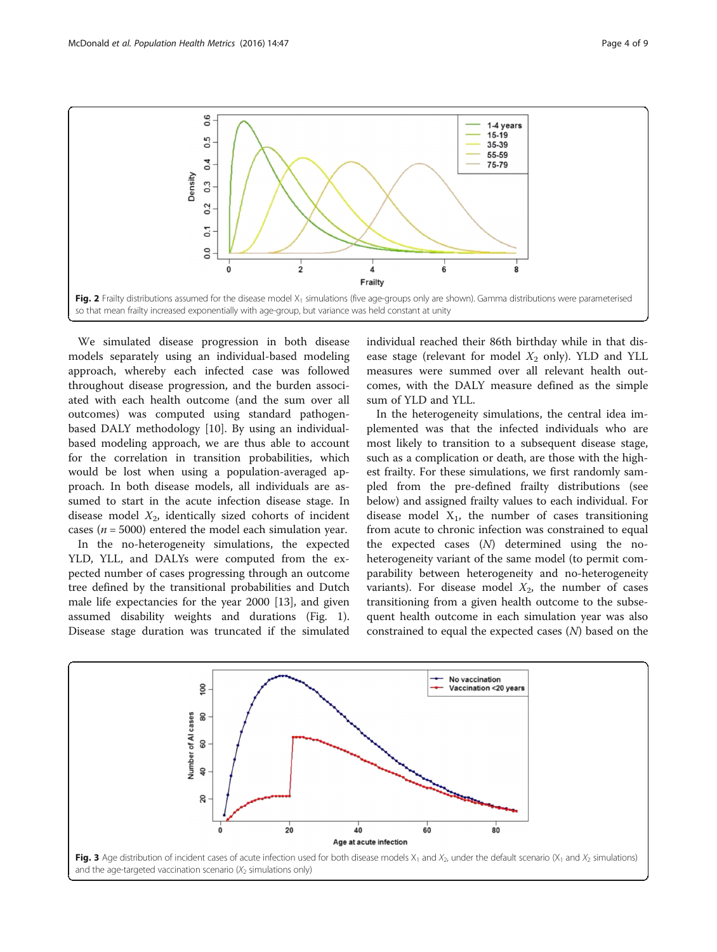<span id="page-3-0"></span>

We simulated disease progression in both disease models separately using an individual-based modeling approach, whereby each infected case was followed throughout disease progression, and the burden associated with each health outcome (and the sum over all outcomes) was computed using standard pathogenbased DALY methodology [\[10](#page-8-0)]. By using an individualbased modeling approach, we are thus able to account for the correlation in transition probabilities, which would be lost when using a population-averaged approach. In both disease models, all individuals are assumed to start in the acute infection disease stage. In disease model  $X_2$ , identically sized cohorts of incident cases ( $n = 5000$ ) entered the model each simulation year.

In the no-heterogeneity simulations, the expected YLD, YLL, and DALYs were computed from the expected number of cases progressing through an outcome tree defined by the transitional probabilities and Dutch male life expectancies for the year 2000 [\[13\]](#page-8-0), and given assumed disability weights and durations (Fig. [1](#page-2-0)). Disease stage duration was truncated if the simulated

individual reached their 86th birthday while in that disease stage (relevant for model  $X_2$  only). YLD and YLL measures were summed over all relevant health outcomes, with the DALY measure defined as the simple sum of YLD and YLL.

In the heterogeneity simulations, the central idea implemented was that the infected individuals who are most likely to transition to a subsequent disease stage, such as a complication or death, are those with the highest frailty. For these simulations, we first randomly sampled from the pre-defined frailty distributions (see below) and assigned frailty values to each individual. For disease model  $X_1$ , the number of cases transitioning from acute to chronic infection was constrained to equal the expected cases (N) determined using the noheterogeneity variant of the same model (to permit comparability between heterogeneity and no-heterogeneity variants). For disease model  $X_2$ , the number of cases transitioning from a given health outcome to the subsequent health outcome in each simulation year was also constrained to equal the expected cases  $(N)$  based on the

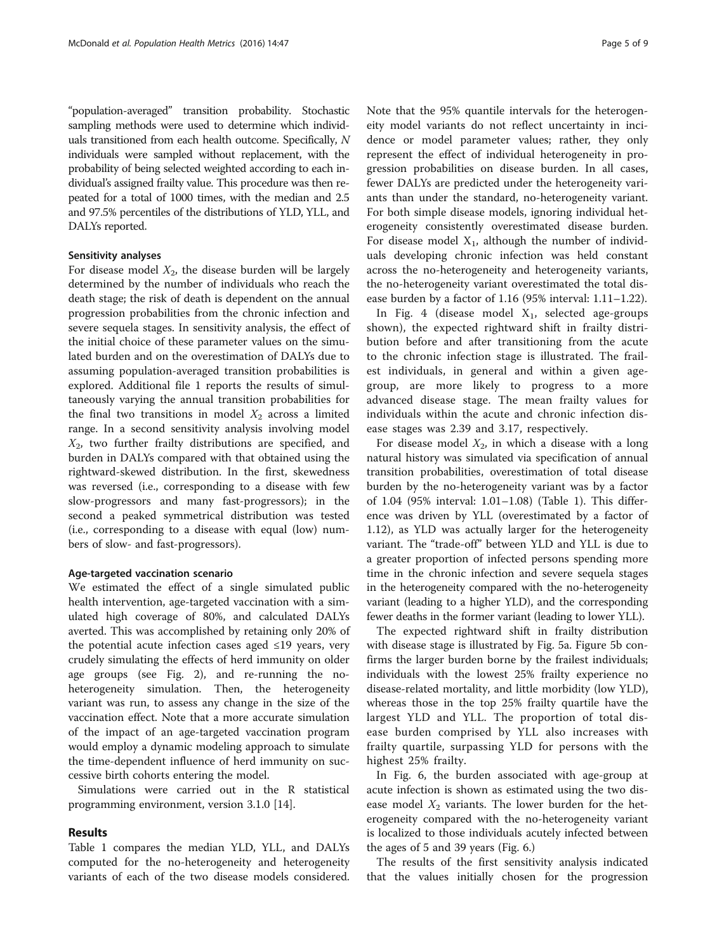"population-averaged" transition probability. Stochastic sampling methods were used to determine which individuals transitioned from each health outcome. Specifically, N individuals were sampled without replacement, with the probability of being selected weighted according to each individual's assigned frailty value. This procedure was then repeated for a total of 1000 times, with the median and 2.5 and 97.5% percentiles of the distributions of YLD, YLL, and DALYs reported.

#### Sensitivity analyses

For disease model  $X_2$ , the disease burden will be largely determined by the number of individuals who reach the death stage; the risk of death is dependent on the annual progression probabilities from the chronic infection and severe sequela stages. In sensitivity analysis, the effect of the initial choice of these parameter values on the simulated burden and on the overestimation of DALYs due to assuming population-averaged transition probabilities is explored. Additional file [1](#page-8-0) reports the results of simultaneously varying the annual transition probabilities for the final two transitions in model  $X_2$  across a limited range. In a second sensitivity analysis involving model  $X<sub>2</sub>$ , two further frailty distributions are specified, and burden in DALYs compared with that obtained using the rightward-skewed distribution. In the first, skewedness was reversed (i.e., corresponding to a disease with few slow-progressors and many fast-progressors); in the second a peaked symmetrical distribution was tested (i.e., corresponding to a disease with equal (low) numbers of slow- and fast-progressors).

#### Age-targeted vaccination scenario

We estimated the effect of a single simulated public health intervention, age-targeted vaccination with a simulated high coverage of 80%, and calculated DALYs averted. This was accomplished by retaining only 20% of the potential acute infection cases aged ≤19 years, very crudely simulating the effects of herd immunity on older age groups (see Fig. [2](#page-3-0)), and re-running the noheterogeneity simulation. Then, the heterogeneity variant was run, to assess any change in the size of the vaccination effect. Note that a more accurate simulation of the impact of an age-targeted vaccination program would employ a dynamic modeling approach to simulate the time-dependent influence of herd immunity on successive birth cohorts entering the model.

Simulations were carried out in the R statistical programming environment, version 3.1.0 [\[14](#page-8-0)].

#### Results

Table [1](#page-5-0) compares the median YLD, YLL, and DALYs computed for the no-heterogeneity and heterogeneity variants of each of the two disease models considered. Note that the 95% quantile intervals for the heterogeneity model variants do not reflect uncertainty in incidence or model parameter values; rather, they only represent the effect of individual heterogeneity in progression probabilities on disease burden. In all cases, fewer DALYs are predicted under the heterogeneity variants than under the standard, no-heterogeneity variant. For both simple disease models, ignoring individual heterogeneity consistently overestimated disease burden. For disease model  $X_1$ , although the number of individuals developing chronic infection was held constant across the no-heterogeneity and heterogeneity variants, the no-heterogeneity variant overestimated the total disease burden by a factor of 1.16 (95% interval: 1.11–1.22).

In Fig. [4](#page-5-0) (disease model  $X_1$ , selected age-groups shown), the expected rightward shift in frailty distribution before and after transitioning from the acute to the chronic infection stage is illustrated. The frailest individuals, in general and within a given agegroup, are more likely to progress to a more advanced disease stage. The mean frailty values for individuals within the acute and chronic infection disease stages was 2.39 and 3.17, respectively.

For disease model  $X_2$ , in which a disease with a long natural history was simulated via specification of annual transition probabilities, overestimation of total disease burden by the no-heterogeneity variant was by a factor of 1.04 (95% interval: 1.01–1.08) (Table [1\)](#page-5-0). This difference was driven by YLL (overestimated by a factor of 1.12), as YLD was actually larger for the heterogeneity variant. The "trade-off" between YLD and YLL is due to a greater proportion of infected persons spending more time in the chronic infection and severe sequela stages in the heterogeneity compared with the no-heterogeneity variant (leading to a higher YLD), and the corresponding fewer deaths in the former variant (leading to lower YLL).

The expected rightward shift in frailty distribution with disease stage is illustrated by Fig. [5a](#page-6-0). Figure [5b](#page-6-0) confirms the larger burden borne by the frailest individuals; individuals with the lowest 25% frailty experience no disease-related mortality, and little morbidity (low YLD), whereas those in the top 25% frailty quartile have the largest YLD and YLL. The proportion of total disease burden comprised by YLL also increases with frailty quartile, surpassing YLD for persons with the highest 25% frailty.

In Fig. [6](#page-7-0), the burden associated with age-group at acute infection is shown as estimated using the two disease model  $X_2$  variants. The lower burden for the heterogeneity compared with the no-heterogeneity variant is localized to those individuals acutely infected between the ages of 5 and 39 years (Fig. [6](#page-7-0).)

The results of the first sensitivity analysis indicated that the values initially chosen for the progression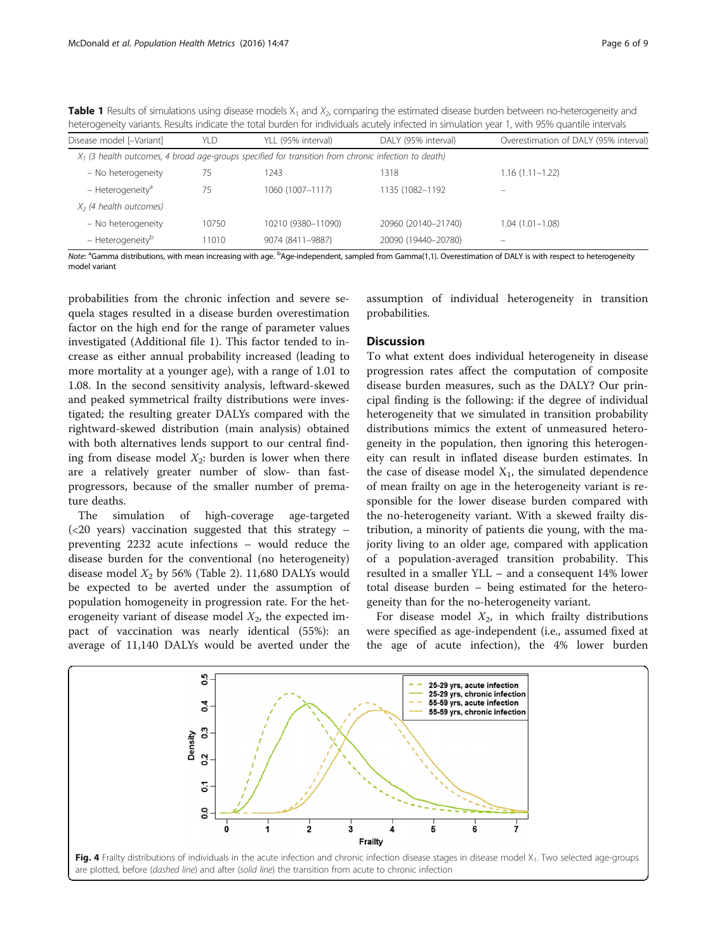<span id="page-5-0"></span>

| <b>Table 1</b> Results of simulations using disease models $X_1$ and $X_2$ , comparing the estimated disease burden between no-heterogeneity and |  |
|--------------------------------------------------------------------------------------------------------------------------------------------------|--|
| heterogeneity variants. Results indicate the total burden for individuals acutely infected in simulation year 1, with 95% quantile intervals     |  |

| Disease model [-Variant]     | <b>YLD</b> | YLL (95% interval)                                                                                              | DALY (95% interval) | Overestimation of DALY (95% interval) |
|------------------------------|------------|-----------------------------------------------------------------------------------------------------------------|---------------------|---------------------------------------|
|                              |            | $X_1$ (3 health outcomes, 4 broad age-groups specified for transition from chronic infection to death)          |                     |                                       |
| - No heterogeneity           | 75         | 1243                                                                                                            | 1318                | $1.16(1.11 - 1.22)$                   |
| - Heterogeneity <sup>a</sup> | 75         | 1060 (1007-1117)                                                                                                | 1135 (1082-1192)    |                                       |
| $X2$ (4 health outcomes)     |            |                                                                                                                 |                     |                                       |
| - No heterogeneity           | 10750      | 10210 (9380-11090)                                                                                              | 20960 (20140-21740) | $1.04(1.01 - 1.08)$                   |
| – Heterogeneity <sup>b</sup> | 11010      | 9074 (8411-9887)                                                                                                | 20090 (19440-20780) |                                       |
|                              |            | the contract of the contract of the contract of the contract of the contract of the contract of the contract of |                     |                                       |

Note: <sup>a</sup>Gamma distributions, with mean increasing with age. <sup>b</sup>Age-independent, sampled from Gamma(1,1). Overestimation of DALY is with respect to heterogeneity model variant

probabilities from the chronic infection and severe sequela stages resulted in a disease burden overestimation factor on the high end for the range of parameter values investigated (Additional file [1\)](#page-8-0). This factor tended to increase as either annual probability increased (leading to more mortality at a younger age), with a range of 1.01 to 1.08. In the second sensitivity analysis, leftward-skewed and peaked symmetrical frailty distributions were investigated; the resulting greater DALYs compared with the rightward-skewed distribution (main analysis) obtained with both alternatives lends support to our central finding from disease model  $X_2$ : burden is lower when there are a relatively greater number of slow- than fastprogressors, because of the smaller number of premature deaths.

The simulation of high-coverage age-targeted (<20 years) vaccination suggested that this strategy – preventing 2232 acute infections – would reduce the disease burden for the conventional (no heterogeneity) disease model  $X_2$  by 56% (Table [2\)](#page-7-0). 11,680 DALYs would be expected to be averted under the assumption of population homogeneity in progression rate. For the heterogeneity variant of disease model  $X_2$ , the expected impact of vaccination was nearly identical (55%): an average of 11,140 DALYs would be averted under the assumption of individual heterogeneity in transition probabilities.

## **Discussion**

To what extent does individual heterogeneity in disease progression rates affect the computation of composite disease burden measures, such as the DALY? Our principal finding is the following: if the degree of individual heterogeneity that we simulated in transition probability distributions mimics the extent of unmeasured heterogeneity in the population, then ignoring this heterogeneity can result in inflated disease burden estimates. In the case of disease model  $X_1$ , the simulated dependence of mean frailty on age in the heterogeneity variant is responsible for the lower disease burden compared with the no-heterogeneity variant. With a skewed frailty distribution, a minority of patients die young, with the majority living to an older age, compared with application of a population-averaged transition probability. This resulted in a smaller YLL – and a consequent 14% lower total disease burden – being estimated for the heterogeneity than for the no-heterogeneity variant.

For disease model  $X_2$ , in which frailty distributions were specified as age-independent (i.e., assumed fixed at the age of acute infection), the 4% lower burden

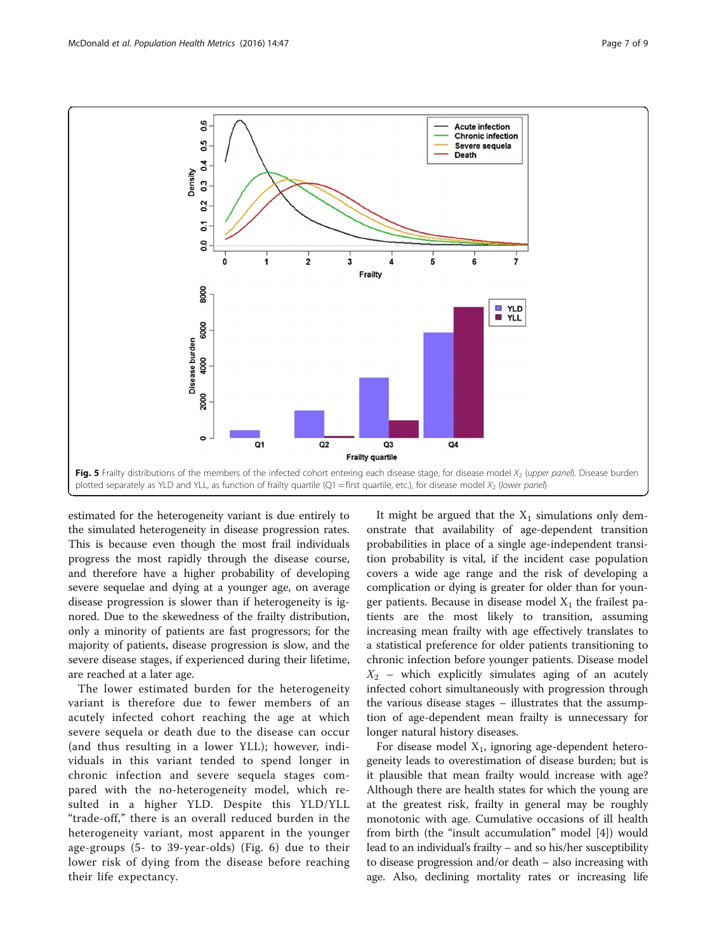<span id="page-6-0"></span>

estimated for the heterogeneity variant is due entirely to the simulated heterogeneity in disease progression rates. This is because even though the most frail individuals progress the most rapidly through the disease course, and therefore have a higher probability of developing severe sequelae and dying at a younger age, on average disease progression is slower than if heterogeneity is ignored. Due to the skewedness of the frailty distribution, only a minority of patients are fast progressors; for the majority of patients, disease progression is slow, and the severe disease stages, if experienced during their lifetime, are reached at a later age.

The lower estimated burden for the heterogeneity variant is therefore due to fewer members of an acutely infected cohort reaching the age at which severe sequela or death due to the disease can occur (and thus resulting in a lower YLL); however, individuals in this variant tended to spend longer in chronic infection and severe sequela stages compared with the no-heterogeneity model, which resulted in a higher YLD. Despite this YLD/YLL "trade-off," there is an overall reduced burden in the heterogeneity variant, most apparent in the younger age-groups (5- to 39-year-olds) (Fig. [6\)](#page-7-0) due to their lower risk of dying from the disease before reaching their life expectancy.

It might be argued that the  $X_1$  simulations only demonstrate that availability of age-dependent transition probabilities in place of a single age-independent transition probability is vital, if the incident case population covers a wide age range and the risk of developing a complication or dying is greater for older than for younger patients. Because in disease model  $X_1$  the frailest patients are the most likely to transition, assuming increasing mean frailty with age effectively translates to a statistical preference for older patients transitioning to chronic infection before younger patients. Disease model  $X_2$  – which explicitly simulates aging of an acutely infected cohort simultaneously with progression through the various disease stages – illustrates that the assumption of age-dependent mean frailty is unnecessary for longer natural history diseases.

For disease model  $X_1$ , ignoring age-dependent heterogeneity leads to overestimation of disease burden; but is it plausible that mean frailty would increase with age? Although there are health states for which the young are at the greatest risk, frailty in general may be roughly monotonic with age. Cumulative occasions of ill health from birth (the "insult accumulation" model [\[4](#page-8-0)]) would lead to an individual's frailty – and so his/her susceptibility to disease progression and/or death – also increasing with age. Also, declining mortality rates or increasing life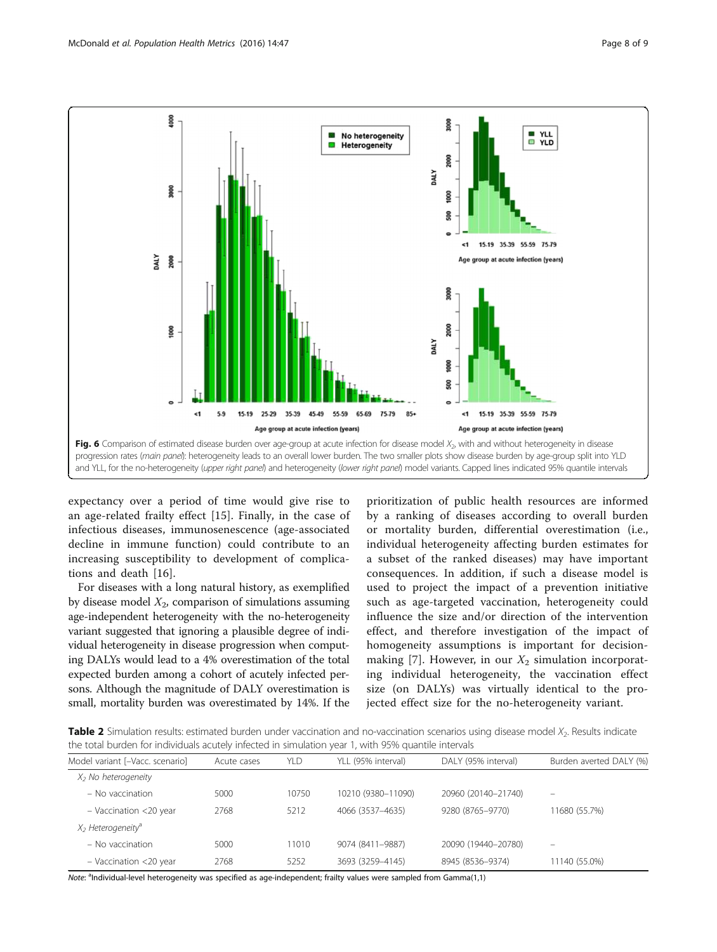<span id="page-7-0"></span>

expectancy over a period of time would give rise to an age-related frailty effect [[15\]](#page-8-0). Finally, in the case of infectious diseases, immunosenescence (age-associated decline in immune function) could contribute to an increasing susceptibility to development of complications and death [\[16](#page-8-0)].

For diseases with a long natural history, as exemplified by disease model  $X<sub>2</sub>$ , comparison of simulations assuming age-independent heterogeneity with the no-heterogeneity variant suggested that ignoring a plausible degree of individual heterogeneity in disease progression when computing DALYs would lead to a 4% overestimation of the total expected burden among a cohort of acutely infected persons. Although the magnitude of DALY overestimation is small, mortality burden was overestimated by 14%. If the

prioritization of public health resources are informed by a ranking of diseases according to overall burden or mortality burden, differential overestimation (i.e., individual heterogeneity affecting burden estimates for a subset of the ranked diseases) may have important consequences. In addition, if such a disease model is used to project the impact of a prevention initiative such as age-targeted vaccination, heterogeneity could influence the size and/or direction of the intervention effect, and therefore investigation of the impact of homogeneity assumptions is important for decision-making [[7\]](#page-8-0). However, in our  $X_2$  simulation incorporating individual heterogeneity, the vaccination effect size (on DALYs) was virtually identical to the projected effect size for the no-heterogeneity variant.

Table 2 Simulation results: estimated burden under vaccination and no-vaccination scenarios using disease model  $X_2$ . Results indicate the total burden for individuals acutely infected in simulation year 1, with 95% quantile intervals

| Model variant [-Vacc. scenario] | Acute cases | <b>YLD</b> | YLL (95% interval) | DALY (95% interval) | Burden averted DALY (%)  |
|---------------------------------|-------------|------------|--------------------|---------------------|--------------------------|
| $X2$ No heterogeneity           |             |            |                    |                     |                          |
| $-$ No vaccination              | 5000        | 10750      | 10210 (9380-11090) | 20960 (20140-21740) | $\overline{\phantom{m}}$ |
| - Vaccination <20 year          | 2768        | 5212       | 4066 (3537-4635)   | 9280 (8765-9770)    | 11680 (55.7%)            |
| $X2$ Heterogeneity <sup>a</sup> |             |            |                    |                     |                          |
| - No vaccination                | 5000        | 1010       | 9074 (8411-9887)   | 20090 (19440-20780) | $\overline{\phantom{m}}$ |
| - Vaccination <20 year          | 2768        | 5252       | 3693 (3259-4145)   | 8945 (8536-9374)    | 11140 (55.0%)            |
|                                 |             |            |                    |                     |                          |

Note: <sup>a</sup>Individual-level heterogeneity was specified as age-independent; frailty values were sampled from Gamma(1,1)